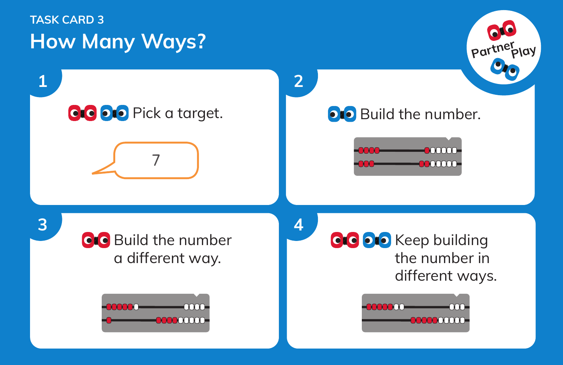